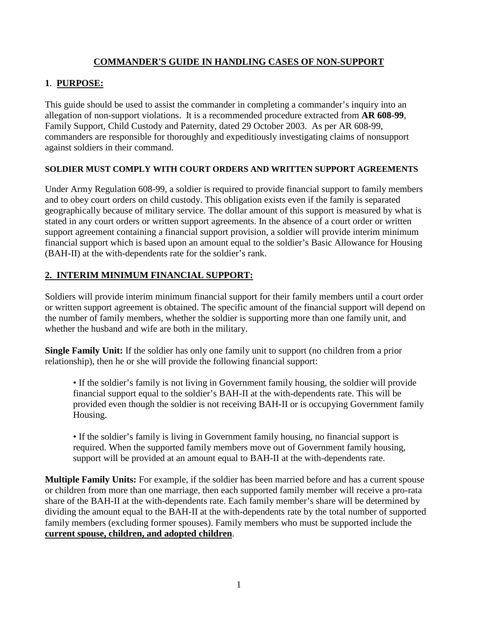# **COMMANDER'S GUIDE IN HANDLING CASES OF NON-SUPPORT**

### **1**. **PURPOSE:**

This guide should be used to assist the commander in completing a commander's inquiry into an allegation of non-support violations. It is a recommended procedure extracted from **AR 608-99**, Family Support, Child Custody and Paternity, dated 29 October 2003. As per AR 608-99, commanders are responsible for thoroughly and expeditiously investigating claims of nonsupport against soldiers in their command.

#### **SOLDIER MUST COMPLY WITH COURT ORDERS AND WRITTEN SUPPORT AGREEMENTS**

Under Army Regulation 608-99, a soldier is required to provide financial support to family members and to obey court orders on child custody. This obligation exists even if the family is separated geographically because of military service. The dollar amount of this support is measured by what is stated in any court orders or written support agreements. In the absence of a court order or written support agreement containing a financial support provision, a soldier will provide interim minimum financial support which is based upon an amount equal to the soldier's Basic Allowance for Housing (BAH-II) at the with-dependents rate for the soldier's rank.

# **2. INTERIM MINIMUM FINANCIAL SUPPORT:**

Soldiers will provide interim minimum financial support for their family members until a court order or written support agreement is obtained. The specific amount of the financial support will depend on the number of family members, whether the soldier is supporting more than one family unit, and whether the husband and wife are both in the military.

**Single Family Unit:** If the soldier has only one family unit to support (no children from a prior relationship), then he or she will provide the following financial support:

• If the soldier's family is not living in Government family housing, the soldier will provide financial support equal to the soldier's BAH-II at the with-dependents rate. This will be provided even though the soldier is not receiving BAH-II or is occupying Government family Housing.

• If the soldier's family is living in Government family housing, no financial support is required. When the supported family members move out of Government family housing, support will be provided at an amount equal to BAH-II at the with-dependents rate.

**Multiple Family Units:** For example, if the soldier has been married before and has a current spouse or children from more than one marriage, then each supported family member will receive a pro-rata share of the BAH-II at the with-dependents rate. Each family member's share will be determined by dividing the amount equal to the BAH-II at the with-dependents rate by the total number of supported family members (excluding former spouses). Family members who must be supported include the **current spouse, children, and adopted children**.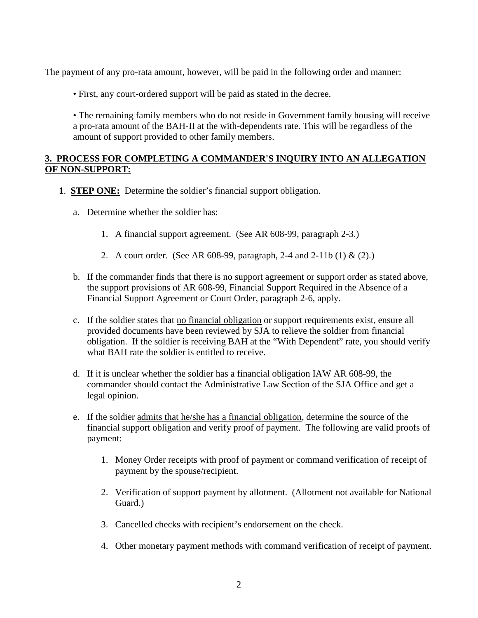The payment of any pro-rata amount, however, will be paid in the following order and manner:

• First, any court-ordered support will be paid as stated in the decree.

• The remaining family members who do not reside in Government family housing will receive a pro-rata amount of the BAH-II at the with-dependents rate. This will be regardless of the amount of support provided to other family members.

#### **3. PROCESS FOR COMPLETING A COMMANDER'S INQUIRY INTO AN ALLEGATION OF NON-SUPPORT:**

- **1**. **STEP ONE:** Determine the soldier's financial support obligation.
	- a. Determine whether the soldier has:
		- 1. A financial support agreement. (See AR 608-99, paragraph 2-3.)
		- 2. A court order. (See AR 608-99, paragraph, 2-4 and 2-11b (1) & (2).)
	- b. If the commander finds that there is no support agreement or support order as stated above, the support provisions of AR 608-99, Financial Support Required in the Absence of a Financial Support Agreement or Court Order, paragraph 2-6, apply.
	- c. If the soldier states that no financial obligation or support requirements exist, ensure all provided documents have been reviewed by SJA to relieve the soldier from financial obligation. If the soldier is receiving BAH at the "With Dependent" rate, you should verify what BAH rate the soldier is entitled to receive.
	- d. If it is unclear whether the soldier has a financial obligation IAW AR 608-99, the commander should contact the Administrative Law Section of the SJA Office and get a legal opinion.
	- e. If the soldier admits that he/she has a financial obligation, determine the source of the financial support obligation and verify proof of payment. The following are valid proofs of payment:
		- 1. Money Order receipts with proof of payment or command verification of receipt of payment by the spouse/recipient.
		- 2. Verification of support payment by allotment. (Allotment not available for National Guard.)
		- 3. Cancelled checks with recipient's endorsement on the check.
		- 4. Other monetary payment methods with command verification of receipt of payment.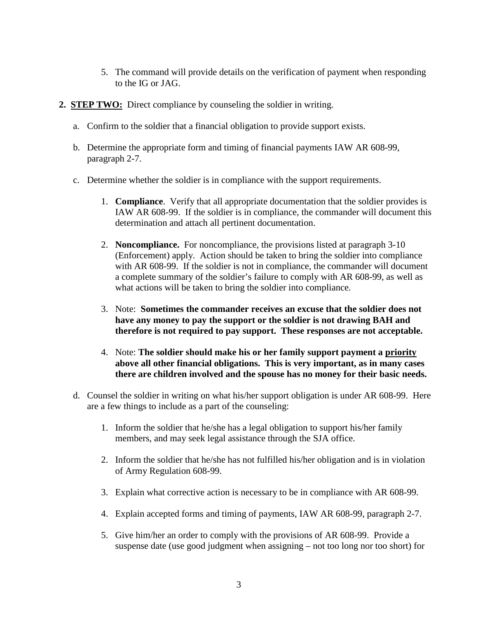- 5. The command will provide details on the verification of payment when responding to the IG or JAG.
- **2. STEP TWO:** Direct compliance by counseling the soldier in writing.
	- a. Confirm to the soldier that a financial obligation to provide support exists.
	- b. Determine the appropriate form and timing of financial payments IAW AR 608-99, paragraph 2-7.
	- c. Determine whether the soldier is in compliance with the support requirements.
		- 1. **Compliance**. Verify that all appropriate documentation that the soldier provides is IAW AR 608-99. If the soldier is in compliance, the commander will document this determination and attach all pertinent documentation.
		- 2. **Noncompliance.** For noncompliance, the provisions listed at paragraph 3-10 (Enforcement) apply. Action should be taken to bring the soldier into compliance with AR 608-99. If the soldier is not in compliance, the commander will document a complete summary of the soldier's failure to comply with AR 608-99, as well as what actions will be taken to bring the soldier into compliance.
		- 3. Note: **Sometimes the commander receives an excuse that the soldier does not have any money to pay the support or the soldier is not drawing BAH and therefore is not required to pay support. These responses are not acceptable.**
		- 4. Note: **The soldier should make his or her family support payment a priority above all other financial obligations. This is very important, as in many cases there are children involved and the spouse has no money for their basic needs.**
	- d. Counsel the soldier in writing on what his/her support obligation is under AR 608-99. Here are a few things to include as a part of the counseling:
		- 1. Inform the soldier that he/she has a legal obligation to support his/her family members, and may seek legal assistance through the SJA office.
		- 2. Inform the soldier that he/she has not fulfilled his/her obligation and is in violation of Army Regulation 608-99.
		- 3. Explain what corrective action is necessary to be in compliance with AR 608-99.
		- 4. Explain accepted forms and timing of payments, IAW AR 608-99, paragraph 2-7.
		- 5. Give him/her an order to comply with the provisions of AR 608-99. Provide a suspense date (use good judgment when assigning – not too long nor too short) for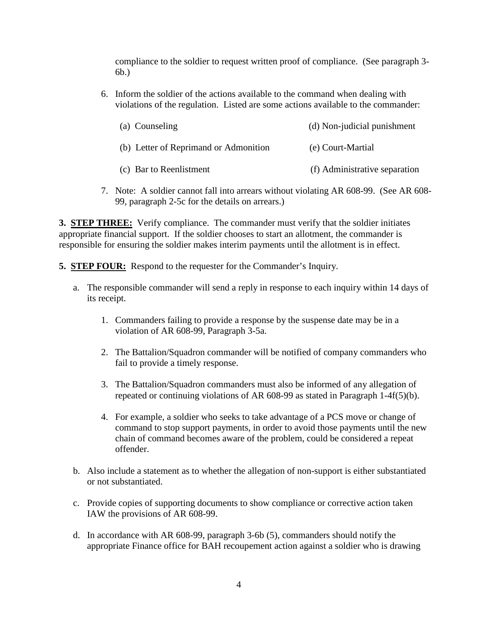compliance to the soldier to request written proof of compliance. (See paragraph 3- 6b.)

6. Inform the soldier of the actions available to the command when dealing with violations of the regulation. Listed are some actions available to the commander:

| (a) Counseling                        | (d) Non-judicial punishment   |
|---------------------------------------|-------------------------------|
| (b) Letter of Reprimand or Admonition | (e) Court-Martial             |
| (c) Bar to Reenlistment               | (f) Administrative separation |

7. Note: A soldier cannot fall into arrears without violating AR 608-99. (See AR 608- 99, paragraph 2-5c for the details on arrears.)

**3. STEP THREE:** Verify compliance. The commander must verify that the soldier initiates appropriate financial support. If the soldier chooses to start an allotment, the commander is responsible for ensuring the soldier makes interim payments until the allotment is in effect.

- **5. STEP FOUR:** Respond to the requester for the Commander's Inquiry.
	- a. The responsible commander will send a reply in response to each inquiry within 14 days of its receipt.
		- 1. Commanders failing to provide a response by the suspense date may be in a violation of AR 608-99, Paragraph 3-5a.
		- 2. The Battalion/Squadron commander will be notified of company commanders who fail to provide a timely response.
		- 3. The Battalion/Squadron commanders must also be informed of any allegation of repeated or continuing violations of AR 608-99 as stated in Paragraph 1-4f(5)(b).
		- 4. For example, a soldier who seeks to take advantage of a PCS move or change of command to stop support payments, in order to avoid those payments until the new chain of command becomes aware of the problem, could be considered a repeat offender.
	- b. Also include a statement as to whether the allegation of non-support is either substantiated or not substantiated.
	- c. Provide copies of supporting documents to show compliance or corrective action taken IAW the provisions of AR 608-99.
	- d. In accordance with AR 608-99, paragraph 3-6b (5), commanders should notify the appropriate Finance office for BAH recoupement action against a soldier who is drawing